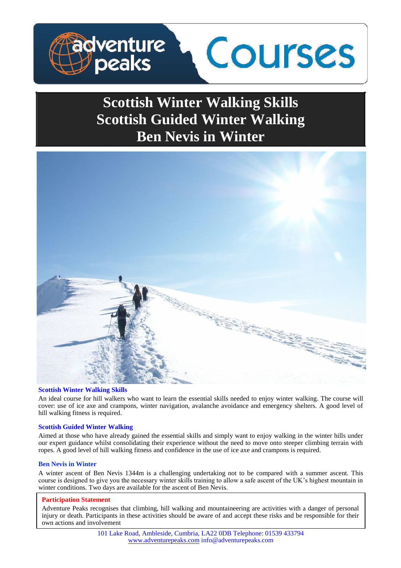

# **Scottish Winter Walking Skills Scottish Guided Winter Walking Ben Nevis in Winter**



# **Scottish Winter Walking Skills**

An ideal course for hill walkers who want to learn the essential skills needed to enjoy winter walking. The course will cover: use of ice axe and crampons, winter navigation, avalanche avoidance and emergency shelters. A good level of hill walking fitness is required.

# **Scottish Guided Winter Walking**

Aimed at those who have already gained the essential skills and simply want to enjoy walking in the winter hills under our expert guidance whilst consolidating their experience without the need to move onto steeper climbing terrain with ropes. A good level of hill walking fitness and confidence in the use of ice axe and crampons is required.

# **Ben Nevis in Winter**

A winter ascent of Ben Nevis 1344m is a challenging undertaking not to be compared with a summer ascent. This course is designed to give you the necessary winter skills training to allow a safe ascent of the UK's highest mountain in winter conditions. Two days are available for the ascent of Ben Nevis.

# **Participation Statement**

Adventure Peaks recognises that climbing, hill walking and mountaineering are activities with a danger of personal injury or death. Participants in these activities should be aware of and accept these risks and be responsible for their own actions and involvement

> 101 Lake Road, Ambleside, Cumbria, LA22 0DB Telephone: 01539 433794 www.adventurepeaks.com info@adventurepeaks.com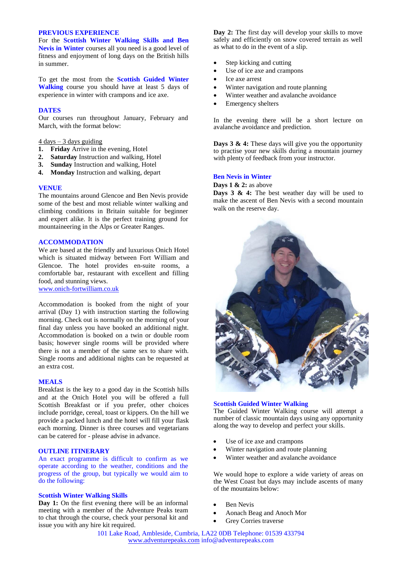# **PREVIOUS EXPERIENCE**

For the **Scottish Winter Walking Skills and Ben Nevis in Winter** courses all you need is a good level of fitness and enjoyment of long days on the British hills in summer.

To get the most from the **Scottish Guided Winter Walking** course you should have at least 5 days of experience in winter with crampons and ice axe.

## **DATES**

Our courses run throughout January, February and March, with the format below:

# $\frac{4 \text{ days} - 3 \text{ days} \text{ guiding}}{4 \text{ days}}$

- **1. Friday** Arrive in the evening, Hotel
- **2. Saturday** Instruction and walking, Hotel
- **3. Sunday** Instruction and walking, Hotel
- **4. Monday** Instruction and walking, depart

## **VENUE**

The mountains around Glencoe and Ben Nevis provide some of the best and most reliable winter walking and climbing conditions in Britain suitable for beginner and expert alike. It is the perfect training ground for mountaineering in the Alps or Greater Ranges.

#### **ACCOMMODATION**

We are based at the friendly and luxurious Onich Hotel which is situated midway between Fort William and Glencoe. The hotel provides en-suite rooms, a comfortable bar, restaurant with excellent and filling food, and stunning views.

www.onich-fortwilliam.co.uk

Accommodation is booked from the night of your arrival (Day 1) with instruction starting the following morning. Check out is normally on the morning of your final day unless you have booked an additional night. Accommodation is booked on a twin or double room basis; however single rooms will be provided where there is not a member of the same sex to share with. Single rooms and additional nights can be requested at an extra cost.

#### **MEALS**

Breakfast is the key to a good day in the Scottish hills and at the Onich Hotel you will be offered a full Scottish Breakfast or if you prefer, other choices include porridge, cereal, toast or kippers. On the hill we provide a packed lunch and the hotel will fill your flask each morning. Dinner is three courses and vegetarians can be catered for - please advise in advance.

# **OUTLINE ITINERARY**

An exact programme is difficult to confirm as we operate according to the weather, conditions and the progress of the group, but typically we would aim to do the following:

#### **Scottish Winter Walking Skills**

Day 1: On the first evening there will be an informal meeting with a member of the Adventure Peaks team to chat through the course, check your personal kit and issue you with any hire kit required.

**Day 2:** The first day will develop your skills to move safely and efficiently on snow covered terrain as well as what to do in the event of a slip.

- Step kicking and cutting
- Use of ice axe and crampons
- Ice axe arrest
- Winter navigation and route planning
- Winter weather and avalanche avoidance
- Emergency shelters

In the evening there will be a short lecture on avalanche avoidance and prediction.

**Days 3 & 4:** These days will give you the opportunity to practise your new skills during a mountain journey with plenty of feedback from your instructor.

#### **Ben Nevis in Winter**

**Days 1 & 2:** as above

**Days 3 & 4:** The best weather day will be used to make the ascent of Ben Nevis with a second mountain walk on the reserve day.



## **Scottish Guided Winter Walking**

The Guided Winter Walking course will attempt a number of classic mountain days using any opportunity along the way to develop and perfect your skills.

- Use of ice axe and crampons
- Winter navigation and route planning
- Winter weather and avalanche avoidance

We would hope to explore a wide variety of areas on the West Coast but days may include ascents of many of the mountains below:

- Ben Nevis
- Aonach Beag and Anoch Mor
- Grey Corries traverse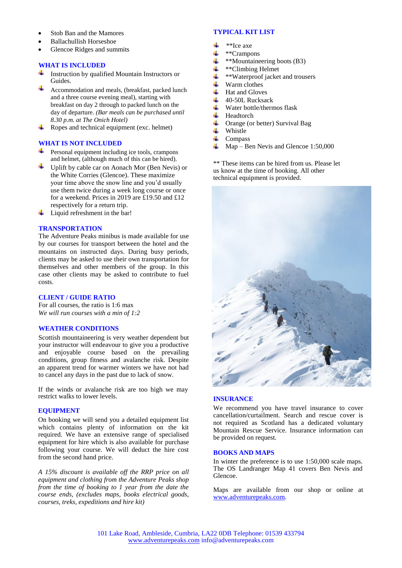- Stob Ban and the Mamores
- Ballachullish Horseshoe
- Glencoe Ridges and summits

# **WHAT IS INCLUDED**

- Instruction by qualified Mountain Instructors or Guides.
- Accommodation and meals, (breakfast, packed lunch and a three course evening meal), starting with breakfast on day 2 through to packed lunch on the day of departure. *(Bar meals can be purchased until 8.30 p.m. at The Onich Hotel)*
- Ropes and technical equipment (exc. helmet)

# **WHAT IS NOT INCLUDED**

- $\triangleq$  Personal equipment including ice tools, crampons and helmet, (although much of this can be hired).
- Uplift by cable car on Aonach Mor (Ben Nevis) or the White Corries (Glencoe). These maximize your time above the snow line and you'd usually use them twice during a week long course or once for a weekend. Prices in 2019 are £19.50 and £12 respectively for a return trip.
- di l Liquid refreshment in the bar!

# **TRANSPORTATION**

The Adventure Peaks minibus is made available for use by our courses for transport between the hotel and the mountains on instructed days. During busy periods, clients may be asked to use their own transportation for themselves and other members of the group. In this case other clients may be asked to contribute to fuel costs.

# **CLIENT / GUIDE RATIO**

For all courses, the ratio is 1:6 max *We will run courses with a min of 1:2*

# **WEATHER CONDITIONS**

Scottish mountaineering is very weather dependent but your instructor will endeavour to give you a productive and enjoyable course based on the prevailing conditions, group fitness and avalanche risk. Despite an apparent trend for warmer winters we have not had to cancel any days in the past due to lack of snow.

If the winds or avalanche risk are too high we may restrict walks to lower levels.

# **EQUIPMENT**

On booking we will send you a detailed equipment list which contains plenty of information on the kit required. We have an extensive range of specialised equipment for hire which is also available for purchase following your course. We will deduct the hire cost from the second hand price.

*A 15% discount is available off the RRP price on all equipment and clothing from the Adventure Peaks shop from the time of booking to 1 year from the date the course ends, (excludes maps, books electrical goods, courses, treks, expeditions and hire kit)* 

## **TYPICAL KIT LIST**

- \*\*Ice axe
- \*\*Crampons
- \*\*Mountaineering boots (B3)
- \*\*Climbing Helmet
- \*\*Waterproof jacket and trousers
- Warm clothes
- Hat and Gloves
- 40-50L Rucksack
- Water bottle/thermos flask
- Headtorch
- Orange (or better) Survival Bag
- Whistle
- Compass
- Map Ben Nevis and Glencoe 1:50,000

\*\* These items can be hired from us. Please let us know at the time of booking. All other technical equipment is provided.



## **INSURANCE**

We recommend you have travel insurance to cover cancellation/curtailment. Search and rescue cover is not required as Scotland has a dedicated voluntary Mountain Rescue Service. Insurance information can be provided on request.

# **BOOKS AND MAPS**

In winter the preference is to use 1:50,000 scale maps. The OS Landranger Map 41 covers Ben Nevis and Glencoe.

Maps are available from our shop or online at www.adventurepeaks.com.